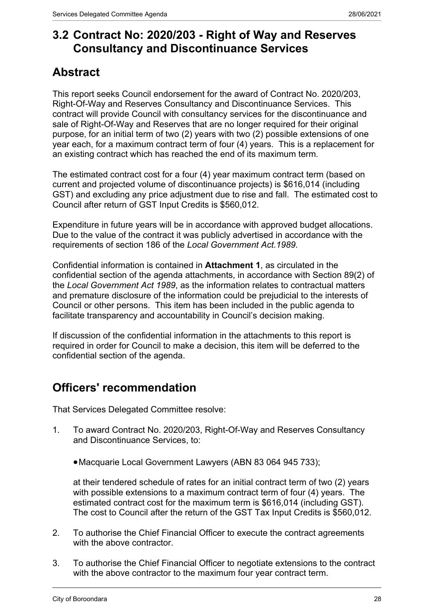# **3.2 Contract No: 2020/203 - Right of Way and Reserves Consultancy and Discontinuance Services**

# **Abstract**

This report seeks Council endorsement for the award of Contract No. 2020/203, Right-Of-Way and Reserves Consultancy and Discontinuance Services. This contract will provide Council with consultancy services for the discontinuance and sale of Right-Of-Way and Reserves that are no longer required for their original purpose, for an initial term of two (2) years with two (2) possible extensions of one year each, for a maximum contract term of four (4) years. This is a replacement for an existing contract which has reached the end of its maximum term.

The estimated contract cost for a four (4) year maximum contract term (based on current and projected volume of discontinuance projects) is \$616,014 (including GST) and excluding any price adjustment due to rise and fall. The estimated cost to Council after return of GST Input Credits is \$560,012.

Expenditure in future years will be in accordance with approved budget allocations. Due to the value of the contract it was publicly advertised in accordance with the requirements of section 186 of the *Local Government Act.1989.*

Confidential information is contained in **Attachment 1**, as circulated in the confidential section of the agenda attachments, in accordance with Section 89(2) of the *Local Government Act 1989*, as the information relates to contractual matters and premature disclosure of the information could be prejudicial to the interests of Council or other persons. This item has been included in the public agenda to facilitate transparency and accountability in Council's decision making.

If discussion of the confidential information in the attachments to this report is required in order for Council to make a decision, this item will be deferred to the confidential section of the agenda.

# **Officers' recommendation**

That Services Delegated Committee resolve:

- 1. To award Contract No. 2020/203, Right-Of-Way and Reserves Consultancy and Discontinuance Services, to:
	- Macquarie Local Government Lawyers (ABN 83 064 945 733);

at their tendered schedule of rates for an initial contract term of two (2) years with possible extensions to a maximum contract term of four (4) years. The estimated contract cost for the maximum term is \$616,014 (including GST). The cost to Council after the return of the GST Tax Input Credits is \$560,012.

- 2. To authorise the Chief Financial Officer to execute the contract agreements with the above contractor.
- 3. To authorise the Chief Financial Officer to negotiate extensions to the contract with the above contractor to the maximum four year contract term.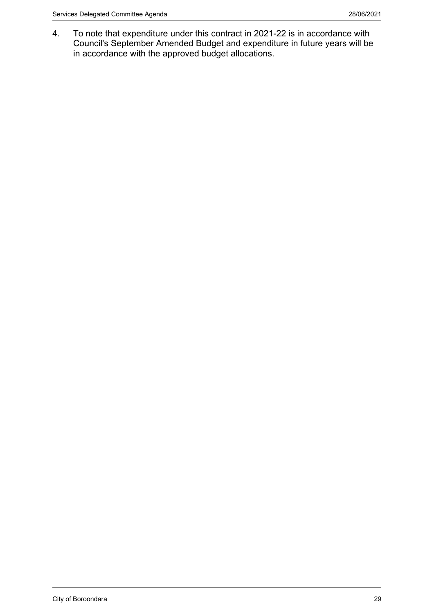4. To note that expenditure under this contract in 2021-22 is in accordance with Council's September Amended Budget and expenditure in future years will be in accordance with the approved budget allocations.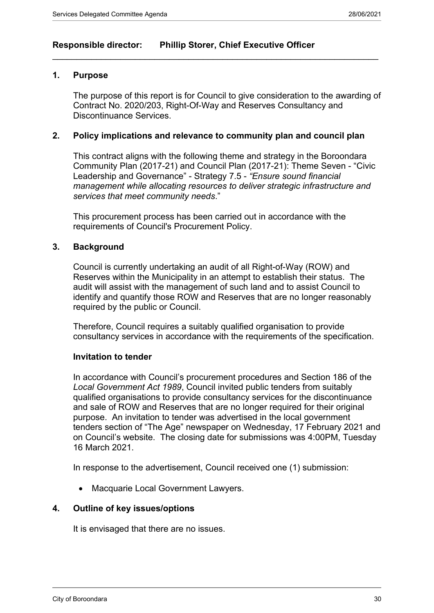# **Responsible director: Phillip Storer, Chief Executive Officer**

## **1. Purpose**

The purpose of this report is for Council to give consideration to the awarding of Contract No. 2020/203, Right-Of-Way and Reserves Consultancy and Discontinuance Services.

### **2. Policy implications and relevance to community plan and council plan**

 $\_$  , and the set of the set of the set of the set of the set of the set of the set of the set of the set of the set of the set of the set of the set of the set of the set of the set of the set of the set of the set of th

This contract aligns with the following theme and strategy in the Boroondara Community Plan (2017-21) and Council Plan (2017-21): Theme Seven - "Civic Leadership and Governance" - Strategy 7.5 - *"Ensure sound financial management while allocating resources to deliver strategic infrastructure and services that meet community needs*."

This procurement process has been carried out in accordance with the requirements of Council's Procurement Policy.

### **3. Background**

Council is currently undertaking an audit of all Right-of-Way (ROW) and Reserves within the Municipality in an attempt to establish their status. The audit will assist with the management of such land and to assist Council to identify and quantify those ROW and Reserves that are no longer reasonably required by the public or Council.

Therefore, Council requires a suitably qualified organisation to provide consultancy services in accordance with the requirements of the specification.

#### **Invitation to tender**

In accordance with Council's procurement procedures and Section 186 of the *Local Government Act 1989*, Council invited public tenders from suitably qualified organisations to provide consultancy services for the discontinuance and sale of ROW and Reserves that are no longer required for their original purpose. An invitation to tender was advertised in the local government tenders section of "The Age" newspaper on Wednesday, 17 February 2021 and on Council's website. The closing date for submissions was 4:00PM, Tuesday 16 March 2021.

In response to the advertisement, Council received one (1) submission:

Macquarie Local Government Lawyers.

#### **4. Outline of key issues/options**

It is envisaged that there are no issues.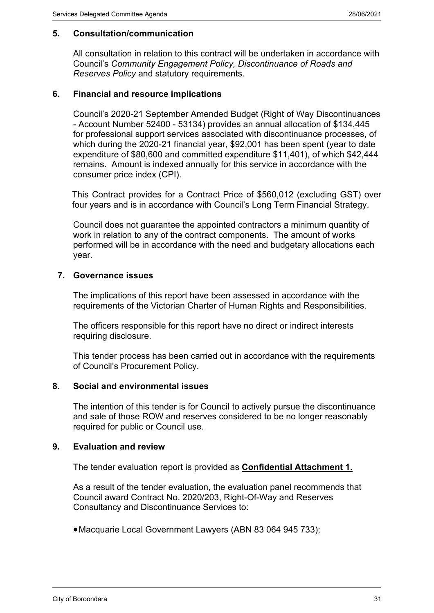# **5. Consultation/communication**

All consultation in relation to this contract will be undertaken in accordance with Council's *Community Engagement Policy, Discontinuance of Roads and Reserves Policy* and statutory requirements.

## **6. Financial and resource implications**

Council's 2020-21 September Amended Budget (Right of Way Discontinuances - Account Number 52400 - 53134) provides an annual allocation of \$134,445 for professional support services associated with discontinuance processes, of which during the 2020-21 financial year, \$92,001 has been spent (year to date expenditure of \$80,600 and committed expenditure \$11,401), of which \$42,444 remains. Amount is indexed annually for this service in accordance with the consumer price index (CPI).

This Contract provides for a Contract Price of \$560,012 (excluding GST) over four years and is in accordance with Council's Long Term Financial Strategy.

Council does not guarantee the appointed contractors a minimum quantity of work in relation to any of the contract components. The amount of works performed will be in accordance with the need and budgetary allocations each year.

# **7. Governance issues**

The implications of this report have been assessed in accordance with the requirements of the Victorian Charter of Human Rights and Responsibilities.

The officers responsible for this report have no direct or indirect interests requiring disclosure.

This tender process has been carried out in accordance with the requirements of Council's Procurement Policy.

## **8. Social and environmental issues**

The intention of this tender is for Council to actively pursue the discontinuance and sale of those ROW and reserves considered to be no longer reasonably required for public or Council use.

## **9. Evaluation and review**

The tender evaluation report is provided as **Confidential Attachment 1.**

As a result of the tender evaluation, the evaluation panel recommends that Council award Contract No. 2020/203, Right-Of-Way and Reserves Consultancy and Discontinuance Services to:

Macquarie Local Government Lawyers (ABN 83 064 945 733);